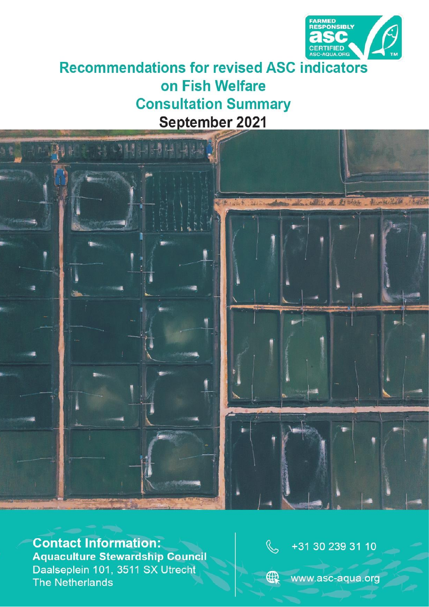

# **Recommendations for revised ASC indicators** on Fish Welfare **Consultation Summary** September 2021



**Contact Information: Aquaculture Stewardship Council** Daalseplein 101, 3511 SX Utrecht **The Netherlands** 



www.asc-aqua.org

 $\bigoplus$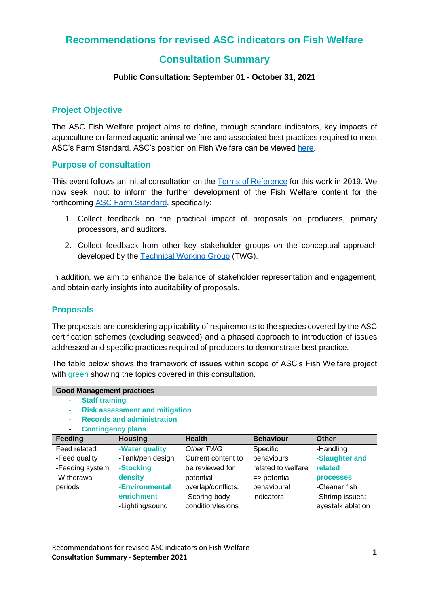## **Recommendations for revised ASC indicators on Fish Welfare**

# **Consultation Summary**

#### **Public Consultation: September 01 - October 31, 2021**

#### **Project Objective**

The ASC Fish Welfare project aims to define, through standard indicators, key impacts of aquaculture on farmed aquatic animal welfare and associated best practices required to meet ASC's Farm Standard. ASC's position on Fish Welfare can be viewed [here.](https://www.asc-aqua.org/wp-content/uploads/2019/09/ASC_Fish-Welfare_Position-Paper_v1.0.pdf)

#### **Purpose of consultation**

This event follows an initial consultation on the [Terms of Reference](https://www.asc-aqua.org/programme-improvements/fish-welfare/) for this work in 2019. We now seek input to inform the further development of the Fish Welfare content for the forthcoming [ASC Farm Standard,](https://www.asc-aqua.org/programme-improvements/aligned-standard/) specifically:

- 1. Collect feedback on the practical impact of proposals on producers, primary processors, and auditors.
- 2. Collect feedback from other key stakeholder groups on the conceptual approach developed by the [Technical Working Group](https://www.asc-aqua.org/what-we-do/about-us/governance/) (TWG).

In addition, we aim to enhance the balance of stakeholder representation and engagement, and obtain early insights into auditability of proposals.

#### **Proposals**

The proposals are considering applicability of requirements to the species covered by the ASC certification schemes (excluding seaweed) and a phased approach to introduction of issues addressed and specific practices required of producers to demonstrate best practice.

The table below shows the framework of issues within scope of ASC's Fish Welfare project with green showing the topics covered in this consultation.

| <b>Good Management practices</b>           |                  |                    |                         |                   |
|--------------------------------------------|------------------|--------------------|-------------------------|-------------------|
| <b>Staff training</b>                      |                  |                    |                         |                   |
| <b>Risk assessment and mitigation</b><br>٠ |                  |                    |                         |                   |
| <b>Records and administration</b>          |                  |                    |                         |                   |
| <b>Contingency plans</b><br>۰              |                  |                    |                         |                   |
| Feeding                                    | <b>Housing</b>   | <b>Health</b>      | <b>Behaviour</b>        | <b>Other</b>      |
| Feed related:                              | -Water quality   | Other TWG          | Specific                | -Handling         |
| -Feed quality                              | -Tank/pen design | Current content to | behaviours              | -Slaughter and    |
| -Feeding system                            | -Stocking        | be reviewed for    | related to welfare      | related           |
| -Withdrawal                                | density          | potential          | $\Rightarrow$ potential | <b>processes</b>  |
| periods                                    | -Environmental   | overlap/conflicts. | behavioural             | -Cleaner fish     |
|                                            | enrichment       | -Scoring body      | indicators              | -Shrimp issues:   |
|                                            | -Lighting/sound  | condition/lesions  |                         | eyestalk ablation |
|                                            |                  |                    |                         |                   |

Recommendations for revised ASC indicators on Fish Welfare **Consultation Summary - September 2021** <sup>1</sup>